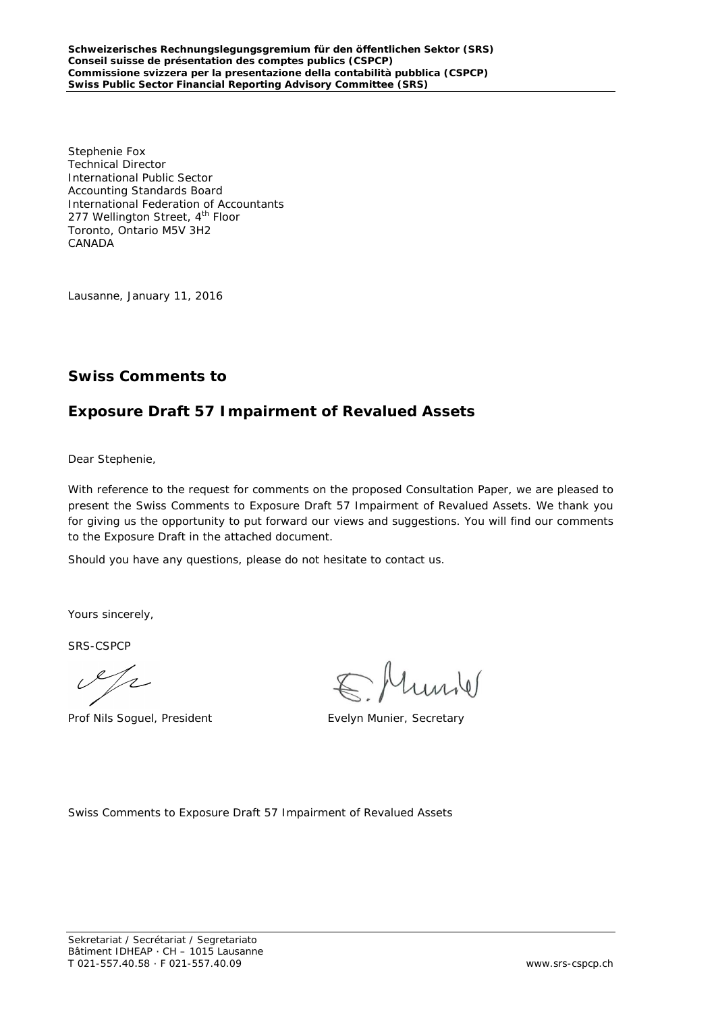Stephenie Fox Technical Director International Public Sector Accounting Standards Board International Federation of Accountants 277 Wellington Street, 4<sup>th</sup> Floor Toronto, Ontario M5V 3H2 CANADA

Lausanne, January 11, 2016

### **Swiss Comments to**

### **Exposure Draft 57 Impairment of Revalued Assets**

Dear Stephenie,

With reference to the request for comments on the proposed Consultation Paper, we are pleased to present the Swiss Comments to Exposure Draft 57 Impairment of Revalued Assets. We thank you for giving us the opportunity to put forward our views and suggestions. You will find our comments to the Exposure Draft in the attached document.

Should you have any questions, please do not hesitate to contact us.

Yours sincerely,

SRS-CSPCP

 $\mathscr{L}/\mathbb{Z}$ 

Prof Nils Soguel, President Evelyn Munier, Secretary

huril

Swiss Comments to Exposure Draft 57 Impairment of Revalued Assets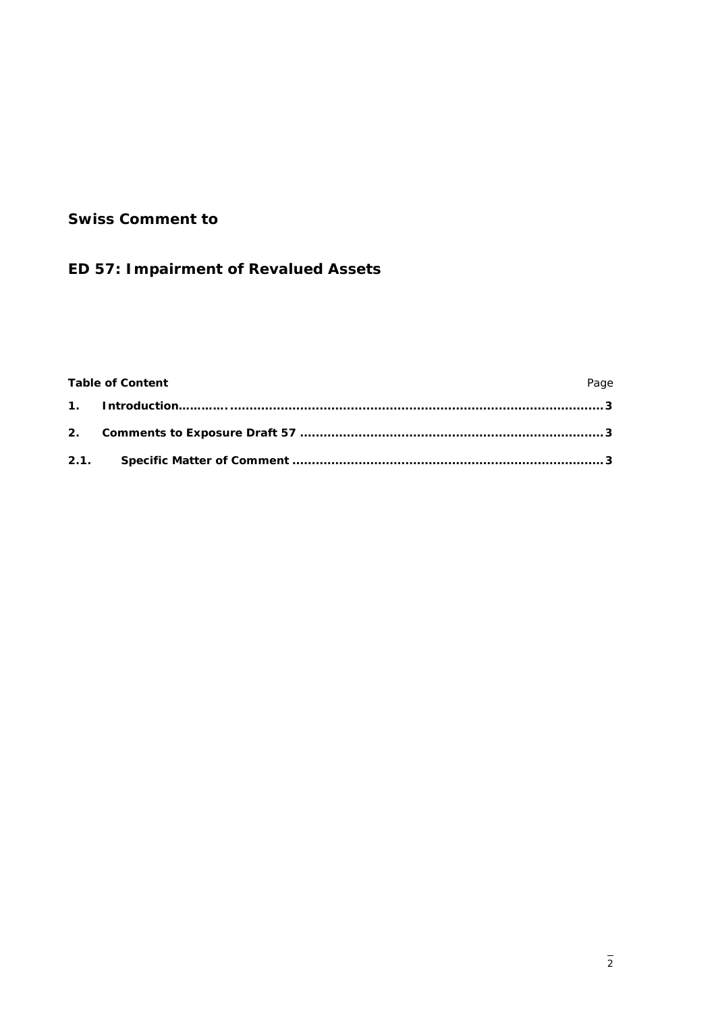## **Swiss Comment to**

# **ED 57: Impairment of Revalued Assets**

### Table of Content **Page**